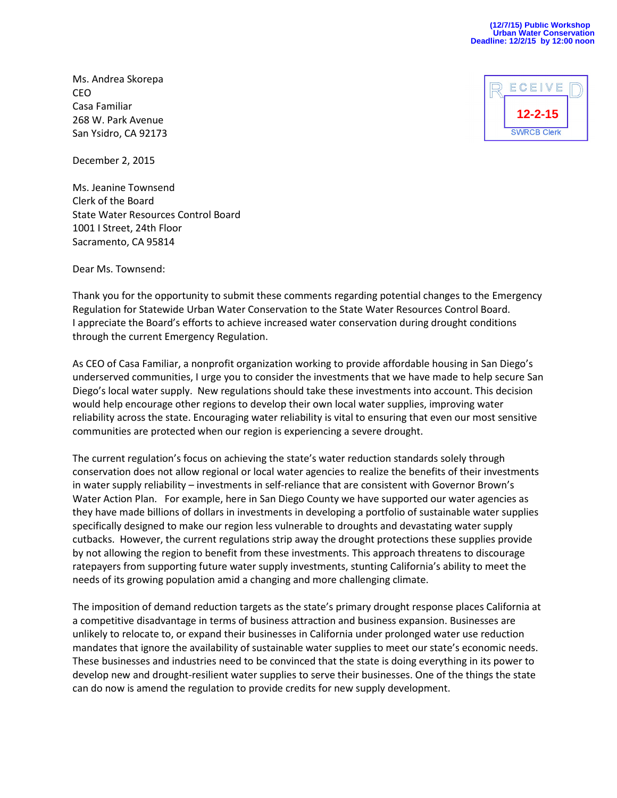**12-2-15**

**SWRCB Clerk** 

ECEIVE

Ms. Andrea Skorepa CEO Casa Familiar 268 W. Park Avenue San Ysidro, CA 92173

December 2, 2015

Ms. Jeanine Townsend Clerk of the Board State Water Resources Control Board 1001 I Street, 24th Floor Sacramento, CA 95814

Dear Ms. Townsend:

Thank you for the opportunity to submit these comments regarding potential changes to the Emergency Regulation for Statewide Urban Water Conservation to the State Water Resources Control Board. I appreciate the Board's efforts to achieve increased water conservation during drought conditions through the current Emergency Regulation.

As CEO of Casa Familiar, a nonprofit organization working to provide affordable housing in San Diego's underserved communities, I urge you to consider the investments that we have made to help secure San Diego's local water supply. New regulations should take these investments into account. This decision would help encourage other regions to develop their own local water supplies, improving water reliability across the state. Encouraging water reliability is vital to ensuring that even our most sensitive communities are protected when our region is experiencing a severe drought.

The current regulation's focus on achieving the state's water reduction standards solely through conservation does not allow regional or local water agencies to realize the benefits of their investments in water supply reliability – investments in self-reliance that are consistent with Governor Brown's Water Action Plan. For example, here in San Diego County we have supported our water agencies as they have made billions of dollars in investments in developing a portfolio of sustainable water supplies specifically designed to make our region less vulnerable to droughts and devastating water supply cutbacks. However, the current regulations strip away the drought protections these supplies provide by not allowing the region to benefit from these investments. This approach threatens to discourage ratepayers from supporting future water supply investments, stunting California's ability to meet the needs of its growing population amid a changing and more challenging climate.

The imposition of demand reduction targets as the state's primary drought response places California at a competitive disadvantage in terms of business attraction and business expansion. Businesses are unlikely to relocate to, or expand their businesses in California under prolonged water use reduction mandates that ignore the availability of sustainable water supplies to meet our state's economic needs. These businesses and industries need to be convinced that the state is doing everything in its power to develop new and drought-resilient water supplies to serve their businesses. One of the things the state can do now is amend the regulation to provide credits for new supply development.